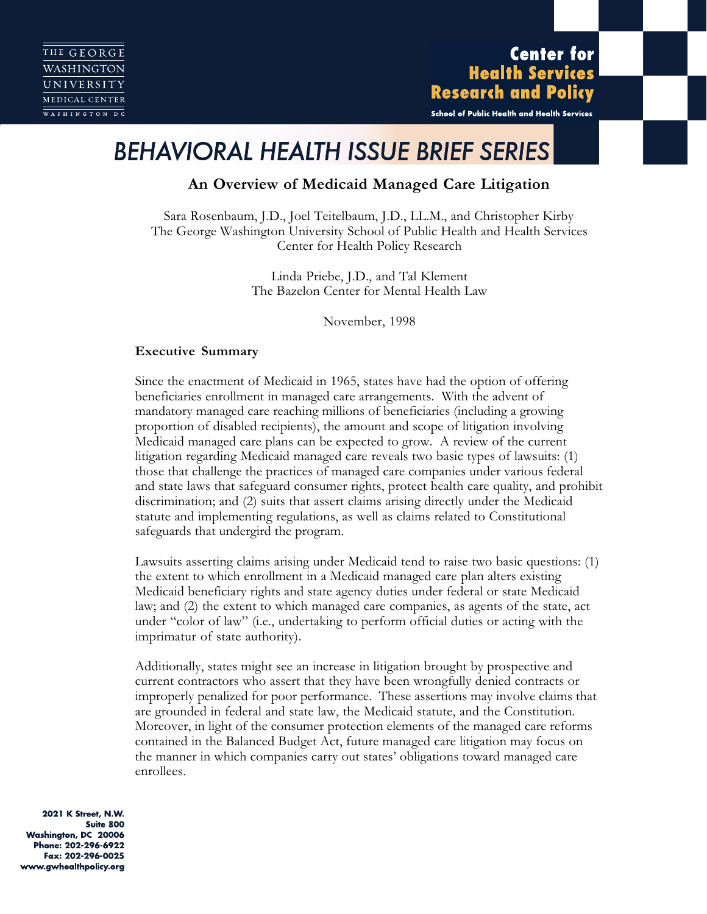**Center for Health Services Research and Policy** 

School of Public Health and Health Services

# *BEHAVIORAL HEALTH ISSUE BRIEF SERIES*

# **An Overview of Medicaid Managed Care Litigation**

Sara Rosenbaum, J.D., Joel Teitelbaum, J.D., LL.M., and Christopher Kirby The George Washington University School of Public Health and Health Services Center for Health Policy Research

> Linda Priebe, J.D., and Tal Klement The Bazelon Center for Mental Health Law

> > November, 1998

#### **Executive Summary**

Since the enactment of Medicaid in 1965, states have had the option of offering beneficiaries enrollment in managed care arrangements. With the advent of mandatory managed care reaching millions of beneficiaries (including a growing proportion of disabled recipients), the amount and scope of litigation involving Medicaid managed care plans can be expected to grow. A review of the current litigation regarding Medicaid managed care reveals two basic types of lawsuits: (1) those that challenge the practices of managed care companies under various federal and state laws that safeguard consumer rights, protect health care quality, and prohibit discrimination; and (2) suits that assert claims arising directly under the Medicaid statute and implementing regulations, as well as claims related to Constitutional safeguards that undergird the program.

Lawsuits asserting claims arising under Medicaid tend to raise two basic questions: (1) the extent to which enrollment in a Medicaid managed care plan alters existing Medicaid beneficiary rights and state agency duties under federal or state Medicaid law; and (2) the extent to which managed care companies, as agents of the state, act under "color of law" (i.e., undertaking to perform official duties or acting with the imprimatur of state authority).

Additionally, states might see an increase in litigation brought by prospective and current contractors who assert that they have been wrongfully denied contracts or improperly penalized for poor performance. These assertions may involve claims that are grounded in federal and state law, the Medicaid statute, and the Constitution. Moreover, in light of the consumer protection elements of the managed care reforms contained in the Balanced Budget Act, future managed care litigation may focus on the manner in which companies carry out states' obligations toward managed care enrollees.

2021 K Street, N.W. Suite 800 Washington, DC 20006 Phone: 202-296-6922 Fax: 202-296-0025 www.gwhealthpolicy.org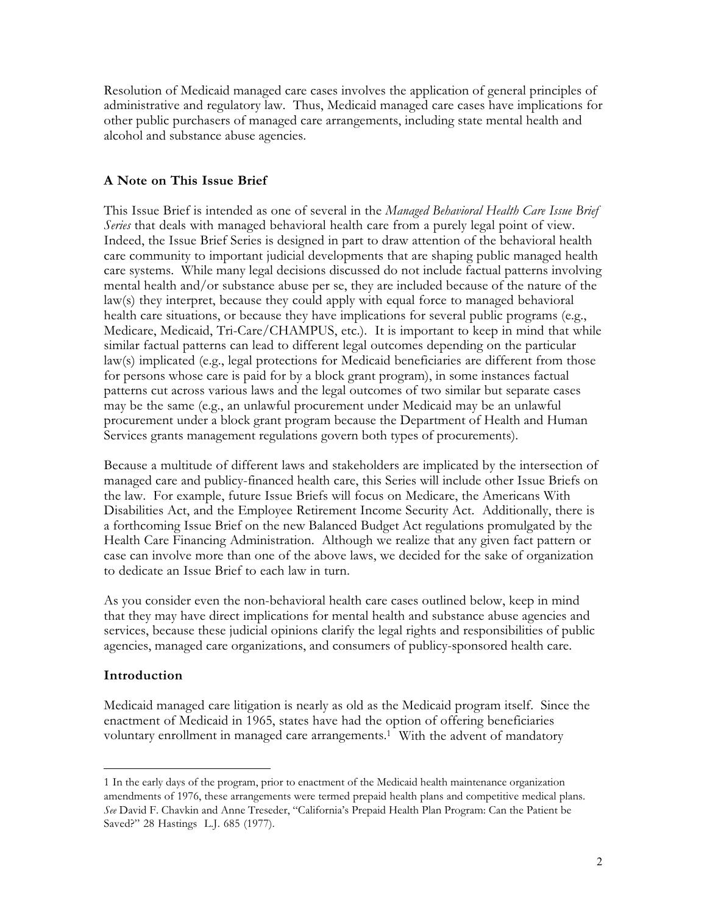Resolution of Medicaid managed care cases involves the application of general principles of administrative and regulatory law. Thus, Medicaid managed care cases have implications for other public purchasers of managed care arrangements, including state mental health and alcohol and substance abuse agencies.

## **A Note on This Issue Brief**

This Issue Brief is intended as one of several in the *Managed Behavioral Health Care Issue Brief Series* that deals with managed behavioral health care from a purely legal point of view. Indeed, the Issue Brief Series is designed in part to draw attention of the behavioral health care community to important judicial developments that are shaping public managed health care systems. While many legal decisions discussed do not include factual patterns involving mental health and/or substance abuse per se, they are included because of the nature of the law(s) they interpret, because they could apply with equal force to managed behavioral health care situations, or because they have implications for several public programs (e.g., Medicare, Medicaid, Tri-Care/CHAMPUS, etc.). It is important to keep in mind that while similar factual patterns can lead to different legal outcomes depending on the particular law(s) implicated (e.g., legal protections for Medicaid beneficiaries are different from those for persons whose care is paid for by a block grant program), in some instances factual patterns cut across various laws and the legal outcomes of two similar but separate cases may be the same (e.g., an unlawful procurement under Medicaid may be an unlawful procurement under a block grant program because the Department of Health and Human Services grants management regulations govern both types of procurements).

Because a multitude of different laws and stakeholders are implicated by the intersection of managed care and publicy-financed health care, this Series will include other Issue Briefs on the law. For example, future Issue Briefs will focus on Medicare, the Americans With Disabilities Act, and the Employee Retirement Income Security Act. Additionally, there is a forthcoming Issue Brief on the new Balanced Budget Act regulations promulgated by the Health Care Financing Administration. Although we realize that any given fact pattern or case can involve more than one of the above laws, we decided for the sake of organization to dedicate an Issue Brief to each law in turn.

As you consider even the non-behavioral health care cases outlined below, keep in mind that they may have direct implications for mental health and substance abuse agencies and services, because these judicial opinions clarify the legal rights and responsibilities of public agencies, managed care organizations, and consumers of publicy-sponsored health care.

### **Introduction**

 $\overline{a}$ 

Medicaid managed care litigation is nearly as old as the Medicaid program itself. Since the enactment of Medicaid in 1965, states have had the option of offering beneficiaries voluntary enrollment in managed care arrangements.<sup>1</sup> With the advent of mandatory

<sup>1</sup> In the early days of the program, prior to enactment of the Medicaid health maintenance organization amendments of 1976, these arrangements were termed prepaid health plans and competitive medical plans. *See* David F. Chavkin and Anne Treseder, "California's Prepaid Health Plan Program: Can the Patient be Saved?" 28 Hastings L.J. 685 (1977).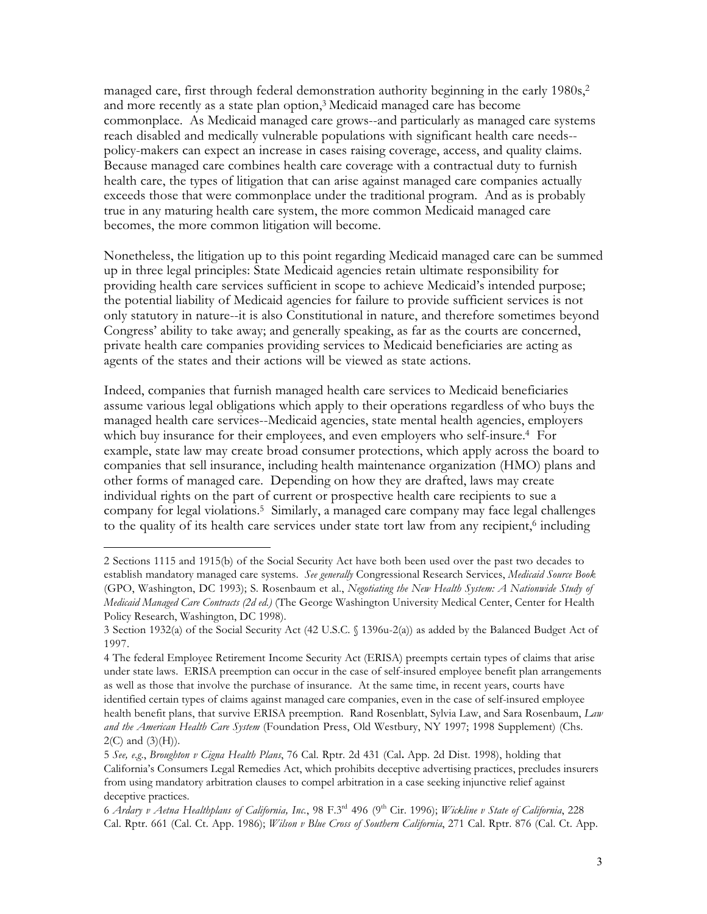managed care, first through federal demonstration authority beginning in the early  $1980s^2$ and more recently as a state plan option,<sup>3</sup> Medicaid managed care has become commonplace. As Medicaid managed care grows--and particularly as managed care systems reach disabled and medically vulnerable populations with significant health care needs- policy-makers can expect an increase in cases raising coverage, access, and quality claims. Because managed care combines health care coverage with a contractual duty to furnish health care, the types of litigation that can arise against managed care companies actually exceeds those that were commonplace under the traditional program. And as is probably true in any maturing health care system, the more common Medicaid managed care becomes, the more common litigation will become.

Nonetheless, the litigation up to this point regarding Medicaid managed care can be summed up in three legal principles: State Medicaid agencies retain ultimate responsibility for providing health care services sufficient in scope to achieve Medicaid's intended purpose; the potential liability of Medicaid agencies for failure to provide sufficient services is not only statutory in nature--it is also Constitutional in nature, and therefore sometimes beyond Congress' ability to take away; and generally speaking, as far as the courts are concerned, private health care companies providing services to Medicaid beneficiaries are acting as agents of the states and their actions will be viewed as state actions.

Indeed, companies that furnish managed health care services to Medicaid beneficiaries assume various legal obligations which apply to their operations regardless of who buys the managed health care services--Medicaid agencies, state mental health agencies, employers which buy insurance for their employees, and even employers who self-insure.<sup>4</sup> For example, state law may create broad consumer protections, which apply across the board to companies that sell insurance, including health maintenance organization (HMO) plans and other forms of managed care. Depending on how they are drafted, laws may create individual rights on the part of current or prospective health care recipients to sue a company for legal violations.5 Similarly, a managed care company may face legal challenges to the quality of its health care services under state tort law from any recipient,<sup>6</sup> including

<sup>2</sup> Sections 1115 and 1915(b) of the Social Security Act have both been used over the past two decades to establish mandatory managed care systems. *See generally* Congressional Research Services, *Medicaid Source Book* (GPO, Washington, DC 1993); S. Rosenbaum et al., *Negotiating the New Health System: A Nationwide Study of Medicaid Managed Care Contracts (2d ed.)* (The George Washington University Medical Center, Center for Health Policy Research, Washington, DC 1998).

<sup>3</sup> Section 1932(a) of the Social Security Act (42 U.S.C. § 1396u-2(a)) as added by the Balanced Budget Act of 1997.

<sup>4</sup> The federal Employee Retirement Income Security Act (ERISA) preempts certain types of claims that arise under state laws. ERISA preemption can occur in the case of self-insured employee benefit plan arrangements as well as those that involve the purchase of insurance. At the same time, in recent years, courts have identified certain types of claims against managed care companies, even in the case of self-insured employee health benefit plans, that survive ERISA preemption. Rand Rosenblatt, Sylvia Law, and Sara Rosenbaum, *Law and the American Health Care System* (Foundation Press, Old Westbury, NY 1997; 1998 Supplement) (Chs.  $2(C)$  and  $(3)(H)$ ).

<sup>5</sup> *See, e.g*., *Broughton v Cigna Health Plans*, 76 Cal. Rptr. 2d 431 (Cal**.** App. 2d Dist. 1998), holding that California's Consumers Legal Remedies Act, which prohibits deceptive advertising practices, precludes insurers from using mandatory arbitration clauses to compel arbitration in a case seeking injunctive relief against deceptive practices.

<sup>6</sup> *Ardary v Aetna Healthplans of California, Inc.*, 98 F.3rd 496 (9th Cir. 1996); *Wickline v State of California*, 228 Cal. Rptr. 661 (Cal. Ct. App. 1986); *Wilson v Blue Cross of Southern California*, 271 Cal. Rptr. 876 (Cal. Ct. App.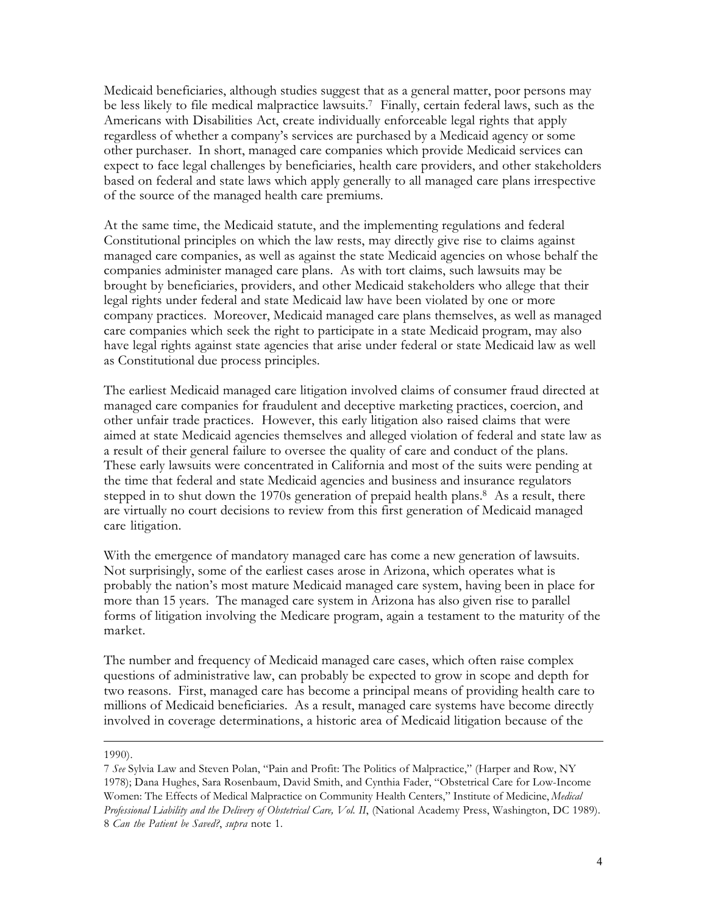Medicaid beneficiaries, although studies suggest that as a general matter, poor persons may be less likely to file medical malpractice lawsuits.7 Finally, certain federal laws, such as the Americans with Disabilities Act, create individually enforceable legal rights that apply regardless of whether a company's services are purchased by a Medicaid agency or some other purchaser. In short, managed care companies which provide Medicaid services can expect to face legal challenges by beneficiaries, health care providers, and other stakeholders based on federal and state laws which apply generally to all managed care plans irrespective of the source of the managed health care premiums.

At the same time, the Medicaid statute, and the implementing regulations and federal Constitutional principles on which the law rests, may directly give rise to claims against managed care companies, as well as against the state Medicaid agencies on whose behalf the companies administer managed care plans. As with tort claims, such lawsuits may be brought by beneficiaries, providers, and other Medicaid stakeholders who allege that their legal rights under federal and state Medicaid law have been violated by one or more company practices. Moreover, Medicaid managed care plans themselves, as well as managed care companies which seek the right to participate in a state Medicaid program, may also have legal rights against state agencies that arise under federal or state Medicaid law as well as Constitutional due process principles.

The earliest Medicaid managed care litigation involved claims of consumer fraud directed at managed care companies for fraudulent and deceptive marketing practices, coercion, and other unfair trade practices. However, this early litigation also raised claims that were aimed at state Medicaid agencies themselves and alleged violation of federal and state law as a result of their general failure to oversee the quality of care and conduct of the plans. These early lawsuits were concentrated in California and most of the suits were pending at the time that federal and state Medicaid agencies and business and insurance regulators stepped in to shut down the 1970s generation of prepaid health plans.<sup>8</sup> As a result, there are virtually no court decisions to review from this first generation of Medicaid managed care litigation.

With the emergence of mandatory managed care has come a new generation of lawsuits. Not surprisingly, some of the earliest cases arose in Arizona, which operates what is probably the nation's most mature Medicaid managed care system, having been in place for more than 15 years. The managed care system in Arizona has also given rise to parallel forms of litigation involving the Medicare program, again a testament to the maturity of the market.

The number and frequency of Medicaid managed care cases, which often raise complex questions of administrative law, can probably be expected to grow in scope and depth for two reasons. First, managed care has become a principal means of providing health care to millions of Medicaid beneficiaries. As a result, managed care systems have become directly involved in coverage determinations, a historic area of Medicaid litigation because of the

#### 1990).

<sup>7</sup> *See* Sylvia Law and Steven Polan, "Pain and Profit: The Politics of Malpractice," (Harper and Row, NY 1978); Dana Hughes, Sara Rosenbaum, David Smith, and Cynthia Fader, "Obstetrical Care for Low-Income Women: The Effects of Medical Malpractice on Community Health Centers," Institute of Medicine, *Medical Professional Liability and the Delivery of Obstetrical Care, Vol. II*, (National Academy Press, Washington, DC 1989). 8 *Can the Patient be Saved?*, *supra* note 1.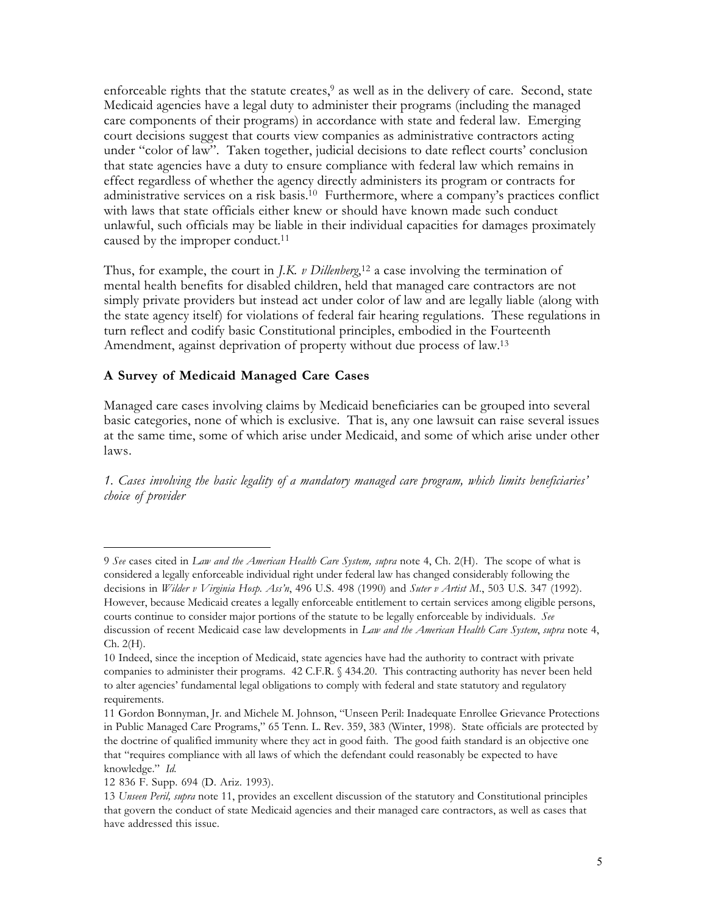enforceable rights that the statute creates, $9$  as well as in the delivery of care. Second, state Medicaid agencies have a legal duty to administer their programs (including the managed care components of their programs) in accordance with state and federal law. Emerging court decisions suggest that courts view companies as administrative contractors acting under "color of law". Taken together, judicial decisions to date reflect courts' conclusion that state agencies have a duty to ensure compliance with federal law which remains in effect regardless of whether the agency directly administers its program or contracts for administrative services on a risk basis.<sup>10</sup> Furthermore, where a company's practices conflict with laws that state officials either knew or should have known made such conduct unlawful, such officials may be liable in their individual capacities for damages proximately caused by the improper conduct.<sup>11</sup>

Thus, for example, the court in *J.K. v Dillenberg*, <sup>12</sup> a case involving the termination of mental health benefits for disabled children, held that managed care contractors are not simply private providers but instead act under color of law and are legally liable (along with the state agency itself) for violations of federal fair hearing regulations. These regulations in turn reflect and codify basic Constitutional principles, embodied in the Fourteenth Amendment, against deprivation of property without due process of law.13

#### **A Survey of Medicaid Managed Care Cases**

Managed care cases involving claims by Medicaid beneficiaries can be grouped into several basic categories, none of which is exclusive. That is, any one lawsuit can raise several issues at the same time, some of which arise under Medicaid, and some of which arise under other laws.

*1. Cases involving the basic legality of a mandatory managed care program, which limits beneficiaries' choice of provider*

<sup>9</sup> *See* cases cited in *Law and the American Health Care System, supra* note 4, Ch. 2(H). The scope of what is considered a legally enforceable individual right under federal law has changed considerably following the decisions in *Wilder v Virginia Hosp. Ass'n*, 496 U.S. 498 (1990) and *Suter v Artist M*., 503 U.S. 347 (1992). However, because Medicaid creates a legally enforceable entitlement to certain services among eligible persons, courts continue to consider major portions of the statute to be legally enforceable by individuals. *See* discussion of recent Medicaid case law developments in *Law and the American Health Care System*, *supra* note 4, Ch. 2(H).

<sup>10</sup> Indeed, since the inception of Medicaid, state agencies have had the authority to contract with private companies to administer their programs. 42 C.F.R. § 434.20. This contracting authority has never been held to alter agencies' fundamental legal obligations to comply with federal and state statutory and regulatory requirements.

<sup>11</sup> Gordon Bonnyman, Jr. and Michele M. Johnson, "Unseen Peril: Inadequate Enrollee Grievance Protections in Public Managed Care Programs," 65 Tenn. L. Rev. 359, 383 (Winter, 1998). State officials are protected by the doctrine of qualified immunity where they act in good faith. The good faith standard is an objective one that "requires compliance with all laws of which the defendant could reasonably be expected to have knowledge." *Id.*

<sup>12 836</sup> F. Supp. 694 (D. Ariz. 1993).

<sup>13</sup> *Unseen Peril, supra* note 11, provides an excellent discussion of the statutory and Constitutional principles that govern the conduct of state Medicaid agencies and their managed care contractors, as well as cases that have addressed this issue.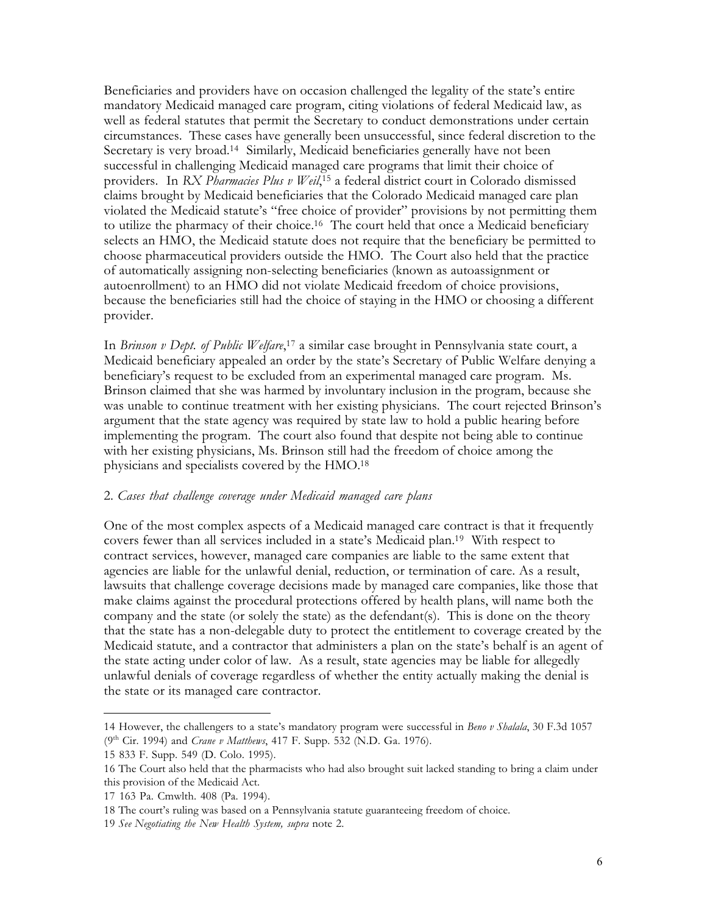Beneficiaries and providers have on occasion challenged the legality of the state's entire mandatory Medicaid managed care program, citing violations of federal Medicaid law, as well as federal statutes that permit the Secretary to conduct demonstrations under certain circumstances. These cases have generally been unsuccessful, since federal discretion to the Secretary is very broad.14 Similarly, Medicaid beneficiaries generally have not been successful in challenging Medicaid managed care programs that limit their choice of providers. In *RX Pharmacies Plus v Weil*, <sup>15</sup> a federal district court in Colorado dismissed claims brought by Medicaid beneficiaries that the Colorado Medicaid managed care plan violated the Medicaid statute's "free choice of provider" provisions by not permitting them to utilize the pharmacy of their choice.<sup>16</sup> The court held that once a Medicaid beneficiary selects an HMO, the Medicaid statute does not require that the beneficiary be permitted to choose pharmaceutical providers outside the HMO. The Court also held that the practice of automatically assigning non-selecting beneficiaries (known as autoassignment or autoenrollment) to an HMO did not violate Medicaid freedom of choice provisions, because the beneficiaries still had the choice of staying in the HMO or choosing a different provider.

In *Brinson v Dept. of Public Welfare*, <sup>17</sup> a similar case brought in Pennsylvania state court, a Medicaid beneficiary appealed an order by the state's Secretary of Public Welfare denying a beneficiary's request to be excluded from an experimental managed care program. Ms. Brinson claimed that she was harmed by involuntary inclusion in the program, because she was unable to continue treatment with her existing physicians. The court rejected Brinson's argument that the state agency was required by state law to hold a public hearing before implementing the program. The court also found that despite not being able to continue with her existing physicians, Ms. Brinson still had the freedom of choice among the physicians and specialists covered by the HMO.18

#### 2. *Cases that challenge coverage under Medicaid managed care plans*

One of the most complex aspects of a Medicaid managed care contract is that it frequently covers fewer than all services included in a state's Medicaid plan.19 With respect to contract services, however, managed care companies are liable to the same extent that agencies are liable for the unlawful denial, reduction, or termination of care. As a result, lawsuits that challenge coverage decisions made by managed care companies, like those that make claims against the procedural protections offered by health plans, will name both the company and the state (or solely the state) as the defendant(s). This is done on the theory that the state has a non-delegable duty to protect the entitlement to coverage created by the Medicaid statute, and a contractor that administers a plan on the state's behalf is an agent of the state acting under color of law. As a result, state agencies may be liable for allegedly unlawful denials of coverage regardless of whether the entity actually making the denial is the state or its managed care contractor.

<sup>14</sup> However, the challengers to a state's mandatory program were successful in *Beno v Shalala*, 30 F.3d 1057 (9th Cir. 1994) and *Crane v Matthews*, 417 F. Supp. 532 (N.D. Ga. 1976).

<sup>15 833</sup> F. Supp. 549 (D. Colo. 1995).

<sup>16</sup> The Court also held that the pharmacists who had also brought suit lacked standing to bring a claim under this provision of the Medicaid Act.

<sup>17 163</sup> Pa. Cmwlth. 408 (Pa. 1994).

<sup>18</sup> The court's ruling was based on a Pennsylvania statute guaranteeing freedom of choice.

<sup>19</sup> *See Negotiating the New Health System, supra* note 2.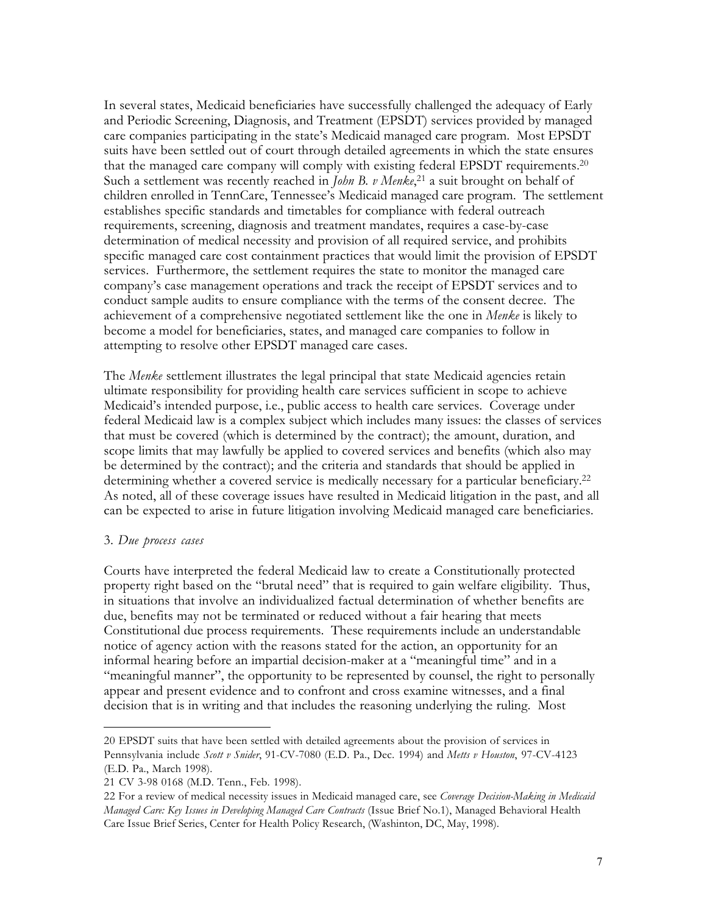In several states, Medicaid beneficiaries have successfully challenged the adequacy of Early and Periodic Screening, Diagnosis, and Treatment (EPSDT) services provided by managed care companies participating in the state's Medicaid managed care program. Most EPSDT suits have been settled out of court through detailed agreements in which the state ensures that the managed care company will comply with existing federal EPSDT requirements.20 Such a settlement was recently reached in *John B. v Menke*, 21 a suit brought on behalf of children enrolled in TennCare, Tennessee's Medicaid managed care program. The settlement establishes specific standards and timetables for compliance with federal outreach requirements, screening, diagnosis and treatment mandates, requires a case-by-case determination of medical necessity and provision of all required service, and prohibits specific managed care cost containment practices that would limit the provision of EPSDT services. Furthermore, the settlement requires the state to monitor the managed care company's case management operations and track the receipt of EPSDT services and to conduct sample audits to ensure compliance with the terms of the consent decree. The achievement of a comprehensive negotiated settlement like the one in *Menke* is likely to become a model for beneficiaries, states, and managed care companies to follow in attempting to resolve other EPSDT managed care cases.

The *Menke* settlement illustrates the legal principal that state Medicaid agencies retain ultimate responsibility for providing health care services sufficient in scope to achieve Medicaid's intended purpose, i.e., public access to health care services. Coverage under federal Medicaid law is a complex subject which includes many issues: the classes of services that must be covered (which is determined by the contract); the amount, duration, and scope limits that may lawfully be applied to covered services and benefits (which also may be determined by the contract); and the criteria and standards that should be applied in determining whether a covered service is medically necessary for a particular beneficiary.22 As noted, all of these coverage issues have resulted in Medicaid litigation in the past, and all can be expected to arise in future litigation involving Medicaid managed care beneficiaries.

#### 3. *Due process cases*

 $\overline{a}$ 

Courts have interpreted the federal Medicaid law to create a Constitutionally protected property right based on the "brutal need" that is required to gain welfare eligibility. Thus, in situations that involve an individualized factual determination of whether benefits are due, benefits may not be terminated or reduced without a fair hearing that meets Constitutional due process requirements. These requirements include an understandable notice of agency action with the reasons stated for the action, an opportunity for an informal hearing before an impartial decision-maker at a "meaningful time" and in a "meaningful manner", the opportunity to be represented by counsel, the right to personally appear and present evidence and to confront and cross examine witnesses, and a final decision that is in writing and that includes the reasoning underlying the ruling. Most

<sup>20</sup> EPSDT suits that have been settled with detailed agreements about the provision of services in Pennsylvania include *Scott v Snider*, 91-CV-7080 (E.D. Pa., Dec. 1994) and *Metts v Houston*, 97-CV-4123 (E.D. Pa., March 1998).

<sup>21</sup> CV 3-98 0168 (M.D. Tenn., Feb. 1998).

<sup>22</sup> For a review of medical necessity issues in Medicaid managed care, see *Coverage Decision-Making in Medicaid Managed Care: Key Issues in Developing Managed Care Contracts* (Issue Brief No.1), Managed Behavioral Health Care Issue Brief Series, Center for Health Policy Research, (Washinton, DC, May, 1998).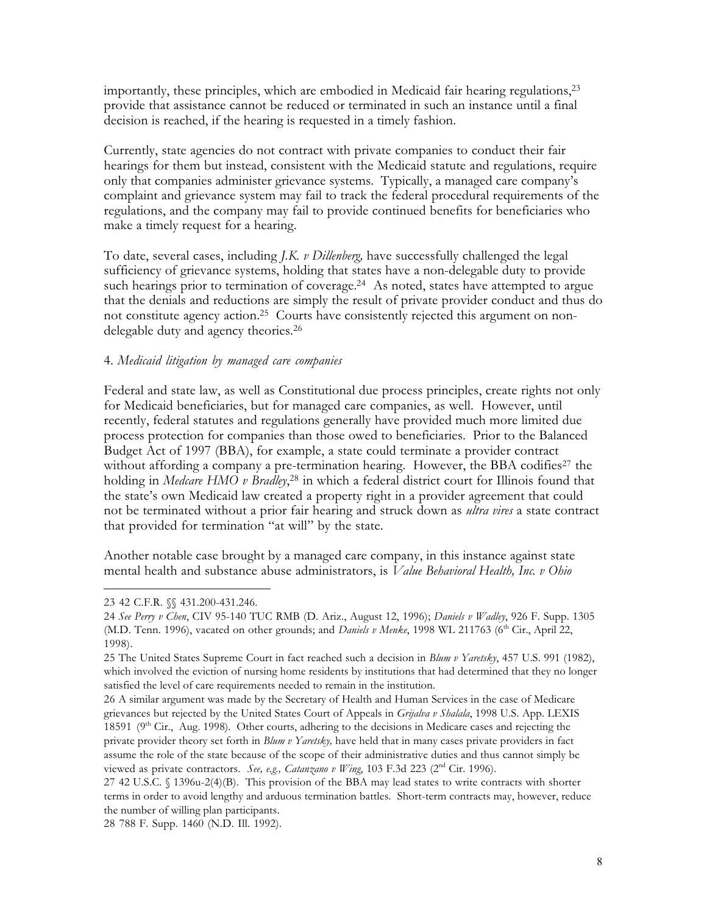importantly, these principles, which are embodied in Medicaid fair hearing regulations,  $2<sup>3</sup>$ provide that assistance cannot be reduced or terminated in such an instance until a final decision is reached, if the hearing is requested in a timely fashion.

Currently, state agencies do not contract with private companies to conduct their fair hearings for them but instead, consistent with the Medicaid statute and regulations, require only that companies administer grievance systems. Typically, a managed care company's complaint and grievance system may fail to track the federal procedural requirements of the regulations, and the company may fail to provide continued benefits for beneficiaries who make a timely request for a hearing.

To date, several cases, including *J.K. v Dillenberg,* have successfully challenged the legal sufficiency of grievance systems, holding that states have a non-delegable duty to provide such hearings prior to termination of coverage.<sup>24</sup> As noted, states have attempted to argue that the denials and reductions are simply the result of private provider conduct and thus do not constitute agency action.25 Courts have consistently rejected this argument on nondelegable duty and agency theories.26

#### 4. *Medicaid litigation by managed care companies*

Federal and state law, as well as Constitutional due process principles, create rights not only for Medicaid beneficiaries, but for managed care companies, as well. However, until recently, federal statutes and regulations generally have provided much more limited due process protection for companies than those owed to beneficiaries. Prior to the Balanced Budget Act of 1997 (BBA), for example, a state could terminate a provider contract without affording a company a pre-termination hearing. However, the BBA codifies<sup>27</sup> the holding in *Medcare HMO v Bradley*, <sup>28</sup> in which a federal district court for Illinois found that the state's own Medicaid law created a property right in a provider agreement that could not be terminated without a prior fair hearing and struck down as *ultra vires* a state contract that provided for termination "at will" by the state.

Another notable case brought by a managed care company, in this instance against state mental health and substance abuse administrators, is *Value Behavioral Health, Inc. v Ohio*

L

<sup>23 42</sup> C.F.R. §§ 431.200-431.246.

<sup>24</sup> *See Perry v Chen*, CIV 95-140 TUC RMB (D. Ariz., August 12, 1996); *Daniels v Wadley*, 926 F. Supp. 1305 (M.D. Tenn. 1996), vacated on other grounds; and *Daniels v Menke*, 1998 WL 211763 (6<sup>th</sup> Cir., April 22, 1998).

<sup>25</sup> The United States Supreme Court in fact reached such a decision in *Blum v Yaretsky*, 457 U.S. 991 (1982), which involved the eviction of nursing home residents by institutions that had determined that they no longer satisfied the level of care requirements needed to remain in the institution.

<sup>26</sup> A similar argument was made by the Secretary of Health and Human Services in the case of Medicare grievances but rejected by the United States Court of Appeals in *Grijalva v Shalala*, 1998 U.S. App. LEXIS 18591 ( $9<sup>th</sup>$  Cir., Aug. 1998). Other courts, adhering to the decisions in Medicare cases and rejecting the private provider theory set forth in *Blum v Yaretsky,* have held that in many cases private providers in fact assume the role of the state because of the scope of their administrative duties and thus cannot simply be viewed as private contractors. See, e.g., Catanzano v Wing, 103 F.3d 223 (2<sup>nd</sup> Cir. 1996).

<sup>27 42</sup> U.S.C. § 1396u-2(4)(B). This provision of the BBA may lead states to write contracts with shorter terms in order to avoid lengthy and arduous termination battles. Short-term contracts may, however, reduce the number of willing plan participants.

<sup>28 788</sup> F. Supp. 1460 (N.D. Ill. 1992).